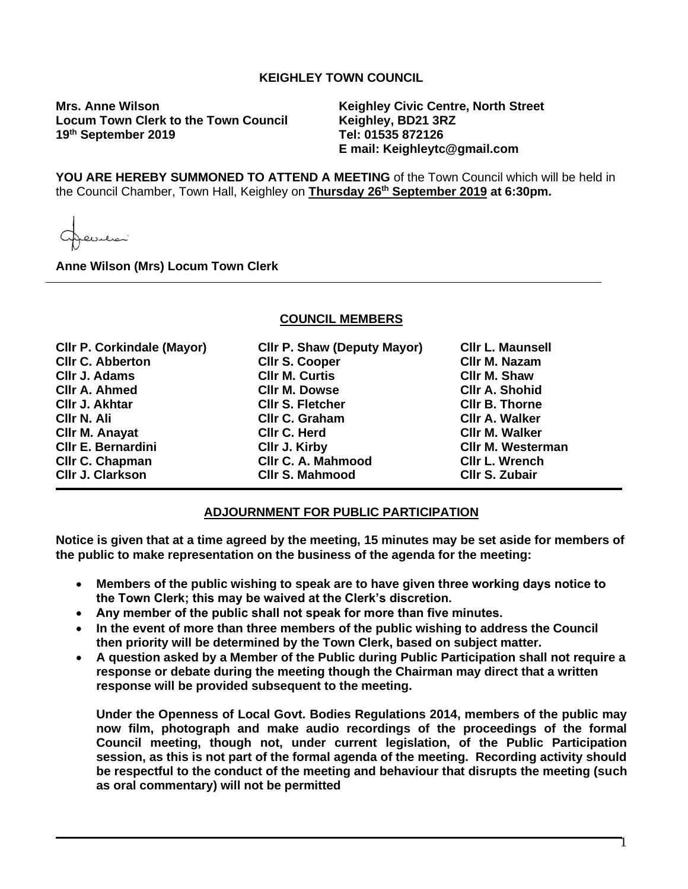# **KEIGHLEY TOWN COUNCIL**

**Mrs. Anne Wilson Keighley Civic Centre, North Street Locum Town Clerk to the Town Council Keighley, BD21 3RZ**  19<sup>th</sup> September 2019

**th September 2019 Tel: 01535 872126 E mail: Keighleytc@gmail.com**

**YOU ARE HEREBY SUMMONED TO ATTEND A MEETING** of the Town Council which will be held in the Council Chamber, Town Hall, Keighley on **Thursday 26 th September 2019 at 6:30pm.**

فلتتلبطت

**Anne Wilson (Mrs) Locum Town Clerk**

#### **COUNCIL MEMBERS**

| <b>CIIr P. Corkindale (Mayor)</b> | <b>CIIr P. Shaw (Deputy Mayor)</b> | <b>CIIr L. Maunsell</b>  |
|-----------------------------------|------------------------------------|--------------------------|
| <b>CIIr C. Abberton</b>           | <b>Cllr S. Cooper</b>              | CIIr M. Nazam            |
| Cllr J. Adams                     | <b>CIIr M. Curtis</b>              | CIIr M. Shaw             |
| <b>CIIr A. Ahmed</b>              | <b>CIIr M. Dowse</b>               | <b>CIIr A. Shohid</b>    |
| Cllr J. Akhtar                    | <b>CIIr S. Fletcher</b>            | <b>CIIr B. Thorne</b>    |
| CIIr N. Ali                       | Cllr C. Graham                     | <b>CIIr A. Walker</b>    |
| <b>CIIr M. Anayat</b>             | CIIr C. Herd                       | <b>CIIr M. Walker</b>    |
| <b>CIIr E. Bernardini</b>         | CIIr J. Kirby                      | <b>CIIr M. Westerman</b> |
| Cllr C. Chapman                   | <b>CIIr C. A. Mahmood</b>          | <b>CIIr L. Wrench</b>    |
| <b>CIIr J. Clarkson</b>           | <b>CIIr S. Mahmood</b>             | <b>CIIr S. Zubair</b>    |

### **ADJOURNMENT FOR PUBLIC PARTICIPATION**

**Notice is given that at a time agreed by the meeting, 15 minutes may be set aside for members of the public to make representation on the business of the agenda for the meeting:**

- **Members of the public wishing to speak are to have given three working days notice to the Town Clerk; this may be waived at the Clerk's discretion.**
- **Any member of the public shall not speak for more than five minutes.**
- **In the event of more than three members of the public wishing to address the Council then priority will be determined by the Town Clerk, based on subject matter.**
- **A question asked by a Member of the Public during Public Participation shall not require a response or debate during the meeting though the Chairman may direct that a written response will be provided subsequent to the meeting.**

**Under the Openness of Local Govt. Bodies Regulations 2014, members of the public may now film, photograph and make audio recordings of the proceedings of the formal Council meeting, though not, under current legislation, of the Public Participation session, as this is not part of the formal agenda of the meeting. Recording activity should be respectful to the conduct of the meeting and behaviour that disrupts the meeting (such as oral commentary) will not be permitted**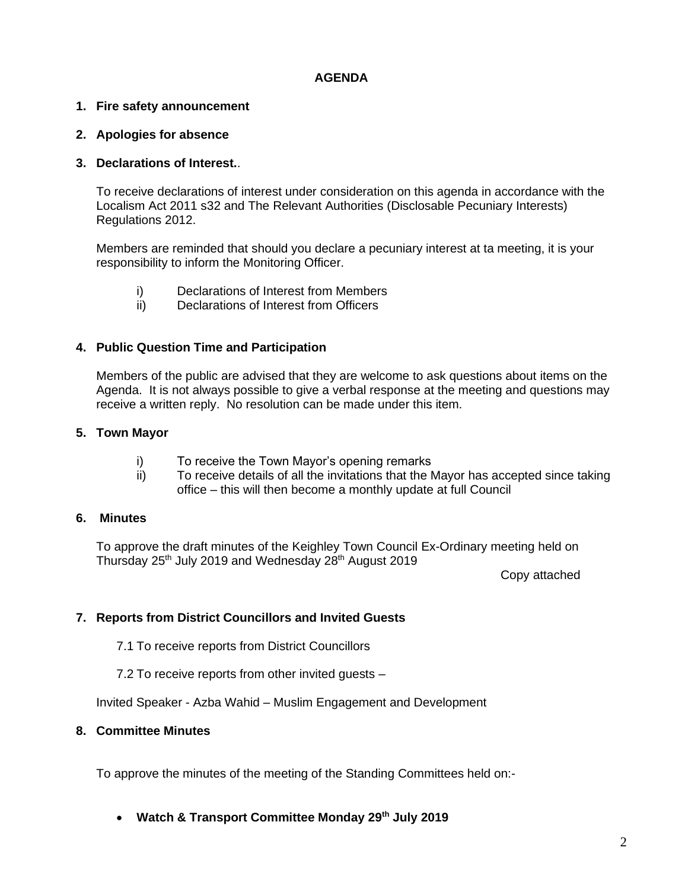# **AGENDA**

# **1. Fire safety announcement**

### **2. Apologies for absence**

### **3. Declarations of Interest.**.

To receive declarations of interest under consideration on this agenda in accordance with the Localism Act 2011 s32 and The Relevant Authorities (Disclosable Pecuniary Interests) Regulations 2012.

Members are reminded that should you declare a pecuniary interest at ta meeting, it is your responsibility to inform the Monitoring Officer.

- i) Declarations of Interest from Members
- ii) Declarations of Interest from Officers

### **4. Public Question Time and Participation**

Members of the public are advised that they are welcome to ask questions about items on the Agenda. It is not always possible to give a verbal response at the meeting and questions may receive a written reply. No resolution can be made under this item.

### **5. Town Mayor**

- i) To receive the Town Mayor's opening remarks
- ii) To receive details of all the invitations that the Mayor has accepted since taking office – this will then become a monthly update at full Council

#### **6. Minutes**

To approve the draft minutes of the Keighley Town Council Ex-Ordinary meeting held on Thursday 25<sup>th</sup> July 2019 and Wednesday 28<sup>th</sup> August 2019

Copy attached

# **7. Reports from District Councillors and Invited Guests**

- 7.1 To receive reports from District Councillors
- 7.2 To receive reports from other invited guests –

Invited Speaker - Azba Wahid – Muslim Engagement and Development

### **8. Committee Minutes**

To approve the minutes of the meeting of the Standing Committees held on:-

• **Watch & Transport Committee Monday 29th July 2019**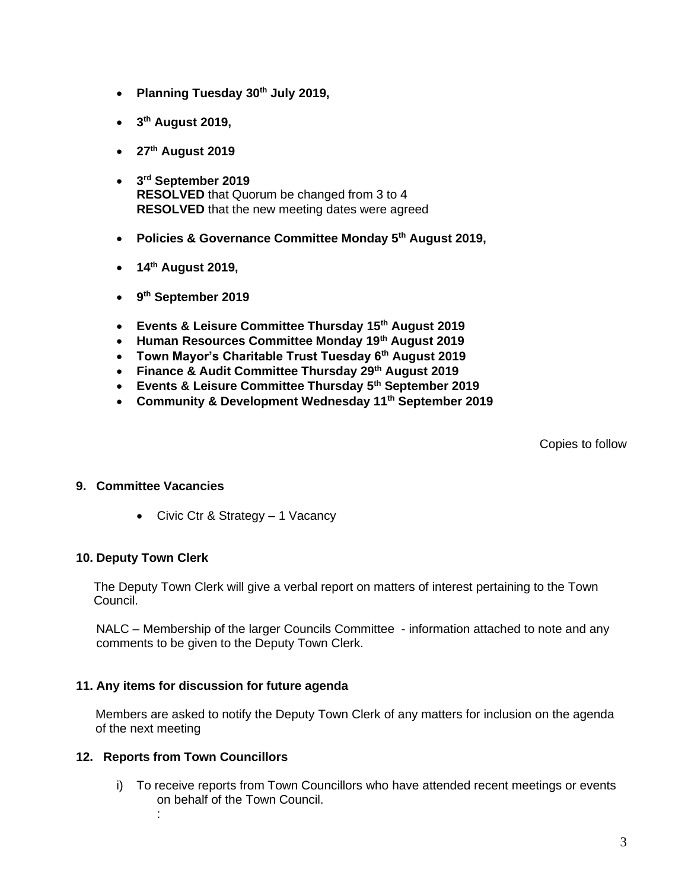- **Planning Tuesday 30th July 2019,**
- **3 th August 2019,**
- **27th August 2019**
- **3 rd September 2019 RESOLVED** that Quorum be changed from 3 to 4 **RESOLVED** that the new meeting dates were agreed
- **Policies & Governance Committee Monday 5th August 2019,**
- **14th August 2019,**
- **9 th September 2019**
- **Events & Leisure Committee Thursday 15th August 2019**
- **Human Resources Committee Monday 19th August 2019**
- **Town Mayor's Charitable Trust Tuesday 6th August 2019**
- **Finance & Audit Committee Thursday 29th August 2019**
- **Events & Leisure Committee Thursday 5th September 2019**
- **Community & Development Wednesday 11th September 2019**

Copies to follow

# **9. Committee Vacancies**

• Civic Ctr & Strategy – 1 Vacancy

# **10. Deputy Town Clerk**

 The Deputy Town Clerk will give a verbal report on matters of interest pertaining to the Town Council.

NALC – Membership of the larger Councils Committee - information attached to note and any comments to be given to the Deputy Town Clerk.

# **11. Any items for discussion for future agenda**

Members are asked to notify the Deputy Town Clerk of any matters for inclusion on the agenda of the next meeting

# **12. Reports from Town Councillors**

i) To receive reports from Town Councillors who have attended recent meetings or events on behalf of the Town Council. :